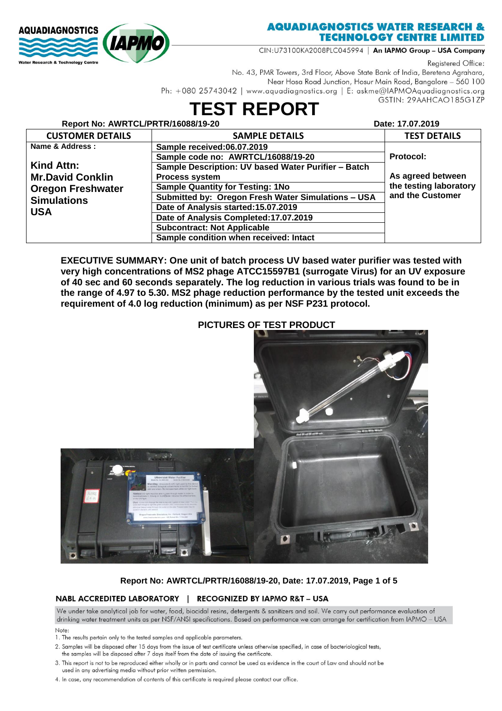

## **AQUADIAGNOSTICS WATER RESEARCH & TECHNOLOGY CENTRE LIMITED**

CIN:U73100KA2008PLC045994 | An IAPMO Group - USA Company

Registered Office:

No. 43, PMR Towers, 3rd Floor, Above State Bank of India, Beretena Agrahara, Near Hosa Road Junction, Hosur Main Road, Bangalore - 560 100 Ph: +080 25743042 | www.aquadiagnostics.org | E: askme@IAPMOAquadiagnostics.org GSTIN: 29AAHCAO185G1ZP

# **TEST REPORT**

| Report No: AWRTCL/PRTR/16088/19-20 |                                                     | Date: 17.07.2019       |
|------------------------------------|-----------------------------------------------------|------------------------|
| <b>CUSTOMER DETAILS</b>            | <b>SAMPLE DETAILS</b>                               | <b>TEST DETAILS</b>    |
| Name & Address:                    | Sample received:06.07.2019                          |                        |
|                                    | Sample code no: AWRTCL/16088/19-20                  | Protocol:              |
| Kind Attn:                         | Sample Description: UV based Water Purifier - Batch |                        |
| <b>Mr.David Conklin</b>            | <b>Process system</b>                               | As agreed between      |
| <b>Oregon Freshwater</b>           | <b>Sample Quantity for Testing: 1No</b>             | the testing laboratory |
| <b>Simulations</b>                 | Submitted by: Oregon Fresh Water Simulations - USA  | and the Customer       |
| <b>USA</b>                         | Date of Analysis started: 15.07.2019                |                        |
|                                    | Date of Analysis Completed: 17.07.2019              |                        |
|                                    | <b>Subcontract: Not Applicable</b>                  |                        |
|                                    | Sample condition when received: Intact              |                        |

EXECUTIVE SUMMARY: One unit of batch process UV based water purifier was tested with very high concentrations of MS2 phage ATCC15597B1 (surrogate Virus) for an UV exposure of 40 sec and 60 seconds separately. The log reduction in various trials was found to be in the range of 4.97 to 5.30. MS2 phage reduction performance by the tested unit exceeds the requirement of 4.0 log reduction (minimum) as per NSF P231 protocol.

### **PICTURES OF TEST PRODUCT**



### Report No: AWRTCL/PRTR/16088/19-20, Date: 17.07.2019, Page 1 of 5

### NABL ACCREDITED LABORATORY | RECOGNIZED BY IAPMO R&T - USA

We under take analytical job for water, food, biocidal resins, detergents & sanitizers and soil. We carry out performance evaluation of drinking water treatment units as per NSF/ANSI specifications. Based on performance we can arrange for certification from IAPMO - USA

- Note:
- 1. The results pertain only to the tested samples and applicable parameters.
- 2. Samples will be disposed after 15 days from the issue of test certificate unless otherwise specified, in case of bacteriological tests,
- the samples will be disposed after 7 days itself from the date of issuing the certificate
- 3. This report is not to be reproduced either wholly or in parts and cannot be used as evidence in the court of Law and should not be used in any advertising media without prior written permission.
- 4. In case, any recommendation of contents of this certificate is required please contact our office.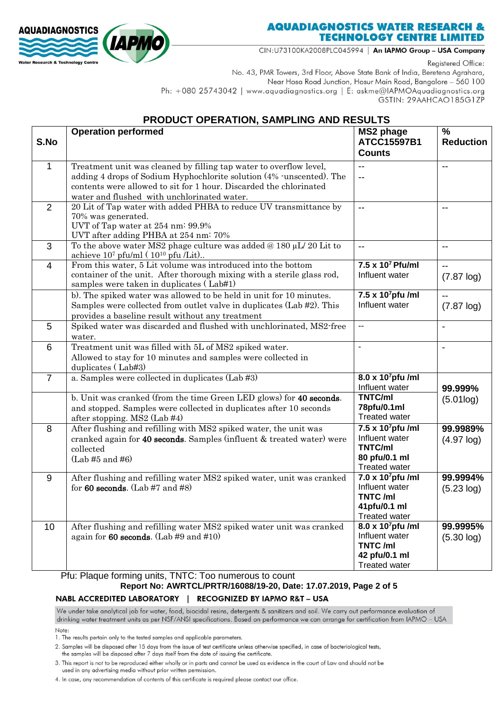

## **AQUADIAGNOSTICS WATER RESEARCH & TECHNOLOGY CENTRE LIMITED**

CIN:U73100KA2008PLC045994 | An IAPMO Group - USA Company

Registered Office:

No. 43, PMR Towers, 3rd Floor, Above State Bank of India, Beretena Agrahara, Near Hosa Road Junction, Hosur Main Road, Bangalore - 560 100 Ph: +080 25743042 | www.aquadiagnostics.org | E: askme@IAPMOAquadiagnostics.org GSTIN: 29AAHCAO185G1ZP

## PRODUCT OPERATION, SAMPLING AND RESULTS

| S.No           | <b>Operation performed</b>                                                                                                                                                                                                                                      | <b>MS2 phage</b><br><b>ATCC15597B1</b><br><b>Counts</b>                                             | %<br><b>Reduction</b>     |
|----------------|-----------------------------------------------------------------------------------------------------------------------------------------------------------------------------------------------------------------------------------------------------------------|-----------------------------------------------------------------------------------------------------|---------------------------|
| 1              | Treatment unit was cleaned by filling tap water to overflow level,<br>adding 4 drops of Sodium Hyphochlorite solution (4% -unscented). The<br>contents were allowed to sit for 1 hour. Discarded the chlorinated<br>water and flushed with unchlorinated water. | $-$<br>--                                                                                           | $-$                       |
| 2              | 20 Lit of Tap water with added PHBA to reduce UV transmittance by<br>70% was generated.<br>UVT of Tap water at 254 nm: 99.9%<br>UVT after adding PHBA at 254 nm: 70%                                                                                            | --                                                                                                  | --                        |
| 3              | To the above water MS2 phage culture was added $@180 \mu L/20$ Lit to<br>achieve $10^7$ pfu/ml ( $10^{10}$ pfu /Lit)                                                                                                                                            | $\overline{\phantom{a}}$                                                                            | --                        |
| 4              | From this water, 5 Lit volume was introduced into the bottom<br>container of the unit. After thorough mixing with a sterile glass rod,<br>samples were taken in duplicates (Lab#1)                                                                              | $7.5 \times 10^7$ Pfu/ml<br>Influent water                                                          | --<br>$(7.87 \log)$       |
|                | b). The spiked water was allowed to be held in unit for 10 minutes.<br>Samples were collected from outlet valve in duplicates (Lab #2). This<br>provides a baseline result without any treatment                                                                | $7.5 \times 10^7$ pfu /ml<br>Influent water                                                         | $(7.87 \log)$             |
| 5              | Spiked water was discarded and flushed with unchlorinated, MS2-free<br>water.                                                                                                                                                                                   | $\sim$ $\sim$                                                                                       | $\blacksquare$            |
| 6              | Treatment unit was filled with 5L of MS2 spiked water.<br>Allowed to stay for 10 minutes and samples were collected in<br>duplicates (Lab#3)                                                                                                                    | $\blacksquare$                                                                                      | $\overline{\phantom{a}}$  |
| $\overline{7}$ | a. Samples were collected in duplicates (Lab #3)                                                                                                                                                                                                                | 8.0 x 10 <sup>7</sup> pfu /ml<br>Influent water                                                     | 99.999%                   |
|                | b. Unit was cranked (from the time Green LED glows) for 40 seconds.<br>and stopped. Samples were collected in duplicates after 10 seconds<br>after stopping. MS2 (Lab #4)                                                                                       | TNTC/ml<br>78pfu/0.1ml<br><b>Treated water</b>                                                      | (5.01log)                 |
| 8              | After flushing and refilling with MS2 spiked water, the unit was<br>cranked again for 40 seconds. Samples (influent & treated water) were<br>collected<br>$(Lab \#5 \text{ and } \#6)$                                                                          | $7.5 \times 10^7$ pfu /ml<br>Influent water<br>TNTC/ml<br>80 pfu/0.1 ml<br><b>Treated water</b>     | 99.9989%<br>$(4.97 \log)$ |
| 9              | After flushing and refilling water MS2 spiked water, unit was cranked<br>for 60 seconds. (Lab #7 and #8)                                                                                                                                                        | 7.0 x 10 <sup>7</sup> pfu /ml<br>Influent water<br>TNTC/ml<br>41pfu/0.1 ml<br><b>Treated water</b>  | 99.9994%<br>$(5.23 \log)$ |
| 10             | After flushing and refilling water MS2 spiked water unit was cranked<br>again for $60$ seconds. (Lab #9 and #10)                                                                                                                                                | 8.0 x 10 <sup>7</sup> pfu /ml<br>Influent water<br>TNTC/ml<br>42 pfu/0.1 ml<br><b>Treated water</b> | 99.9995%<br>(5.30 log)    |

Pfu: Plaque forming units, TNTC: Too numerous to count

## Report No: AWRTCL/PRTR/16088/19-20, Date: 17.07.2019, Page 2 of 5

NABL ACCREDITED LABORATORY | RECOGNIZED BY IAPMO R&T - USA

We under take analytical job for water, food, biocidal resins, detergents & sanitizers and soil. We carry out performance evaluation of drinking water treatment units as per NSF/ANSI specifications. Based on performance we can arrange for certification from IAPMO - USA

Note:

1. The results pertain only to the tested samples and applicable parameters.

2. Samples will be disposed after 15 days from the issue of test certificate unless otherwise specified, in case of bacteriological tests,

the samples will be disposed after 7 days itself from the date of issuing the certificate

3. This report is not to be reproduced either wholly or in parts and cannot be used as evidence in the court of Law and should not be used in any advertising media without prior written permission.

4. In case, any recommendation of contents of this certificate is required please contact our office.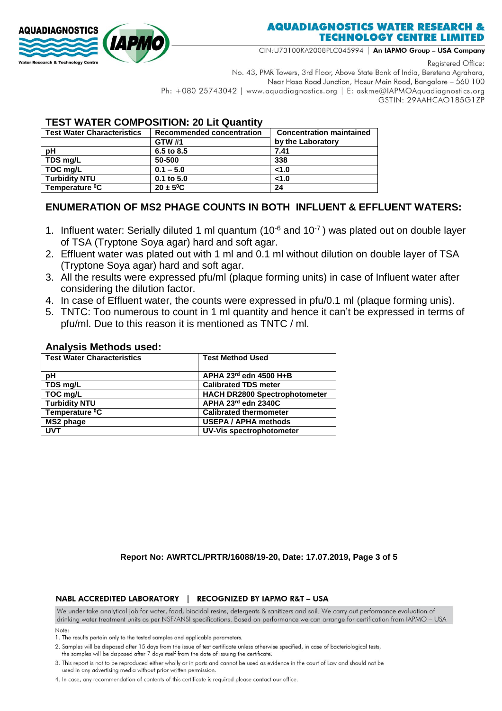

## **AQUADIAGNOSTICS WATER RESEARCH & TECHNOLOGY CENTRE LIMITED**

CIN:U73100KA2008PLC045994 | An IAPMO Group - USA Company

Registered Office:

No. 43, PMR Towers, 3rd Floor, Above State Bank of India, Beretena Agrahara, Near Hosa Road Junction, Hosur Main Road, Bangalore - 560 100 Ph: +080 25743042 | www.aquadiagnostics.org | E: askme@IAPMOAquadiagnostics.org GSTIN: 29AAHCAO185G1ZP

## **TEST WATER COMPOSITION: 20 Lit Quantity**

| <b>Test Water Characteristics</b> | <b>Recommended concentration</b> | <b>Concentration maintained</b> |  |  |
|-----------------------------------|----------------------------------|---------------------------------|--|--|
|                                   | <b>GTW #1</b>                    | by the Laboratory               |  |  |
| рH                                | 6.5 to 8.5                       | 7.41                            |  |  |
| TDS mg/L                          | 50-500                           | 338                             |  |  |
| TOC mg/L                          | $0.1 - 5.0$                      | < 1.0                           |  |  |
| <b>Turbidity NTU</b>              | $0.1$ to $5.0$                   | < 1.0                           |  |  |
| Temperature <sup>o</sup> C        | $20 \pm 5^0$ C                   | 24                              |  |  |

## **ENUMERATION OF MS2 PHAGE COUNTS IN BOTH INFLUENT & EFFLUENT WATERS:**

- 1. Influent water: Serially diluted 1 ml quantum (10 $6$  and 10 $7$ ) was plated out on double layer of TSA (Tryptone Soya agar) hard and soft agar.
- 2. Effluent water was plated out with 1 ml and 0.1 ml without dilution on double layer of TSA (Tryptone Soya agar) hard and soft agar.
- 3. All the results were expressed pfu/ml (plaque forming units) in case of Influent water after considering the dilution factor.
- 4. In case of Effluent water, the counts were expressed in pfu/0.1 ml (plaque forming unis).
- 5. TNTC: Too numerous to count in 1 ml quantity and hence it can't be expressed in terms of pfu/ml. Due to this reason it is mentioned as TNTC / ml.

### **Analysis Methods used:**

| <b>Test Water Characteristics</b> | <b>Test Method Used</b>              |
|-----------------------------------|--------------------------------------|
| рH                                | APHA 23rd edn 4500 H+B               |
| TDS mg/L                          | <b>Calibrated TDS meter</b>          |
| TOC mg/L                          | <b>HACH DR2800 Spectrophotometer</b> |
| <b>Turbidity NTU</b>              | APHA 23rd edn 2340C                  |
| Temperature <sup>0</sup> C        | <b>Calibrated thermometer</b>        |
| MS2 phage                         | <b>USEPA / APHA methods</b>          |
| <b>UVT</b>                        | UV-Vis spectrophotometer             |

#### **Report No: AWRTCL/PRTR/16088/19-20, Date: 17.07.2019, Page 3 of 5**

#### NABL ACCREDITED LABORATORY | RECOGNIZED BY IAPMO R&T - USA

We under take analytical job for water, food, biocidal resins, detergents & sanitizers and soil. We carry out performance evaluation of drinking water treatment units as per NSF/ANSI specifications. Based on performance we can arrange for certification from IAPMO - USA

Note:

- 1. The results pertain only to the tested samples and applicable parameters.
- 2. Samples will be disposed after 15 days from the issue of test certificate unless otherwise specified, in case of bacteriological tests,
- the samples will be disposed after 7 days itself from the date of issuing the certificate
- 3. This report is not to be reproduced either wholly or in parts and cannot be used as evidence in the court of Law and should not be used in any advertising media without prior written permission.
- 4. In case, any recommendation of contents of this certificate is required please contact our office.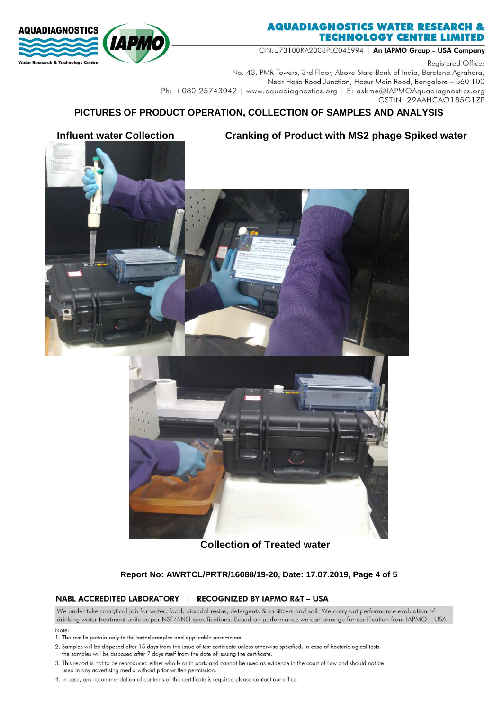

CIN:U73100KA2008PLC045994 | An IAPMO Group - USA Company

Registered Office:

No. 43, PMR Towers, 3rd Floor, Above State Bank of India, Beretena Agrahara, Near Hosa Road Junction, Hosur Main Road, Bangalore - 560 100 Ph: +080 25743042 | www.aquadiagnostics.org | E: askme@IAPMOAquadiagnostics.org GSTIN: 29AAHCAO185G1ZP

## **PICTURES OF PRODUCT OPERATION, COLLECTION OF SAMPLES AND ANALYSIS**





## **Collection of Treated water**

### **Report No: AWRTCL/PRTR/16088/19-20, Date: 17.07.2019, Page 4 of 5**

### NABL ACCREDITED LABORATORY | RECOGNIZED BY IAPMO R&T - USA

We under take analytical job for water, food, biocidal resins, detergents & sanitizers and soil. We carry out performance evaluation of drinking water treatment units as per NSF/ANSI specifications. Based on performance we can arrange for certification from IAPMO - USA

- Note:
- 1. The results pertain only to the tested samples and applicable parameters.
- 2. Samples will be disposed after 15 days from the issue of test certificate unless otherwise specified, in case of bacteriological tests,
- the samples will be disposed after 7 days itself from the date of issuing the certificate
- 3. This report is not to be reproduced either wholly or in parts and cannot be used as evidence in the court of Law and should not be used in any advertising media without prior written permission.
- 4. In case, any recommendation of contents of this certificate is required please contact our office.